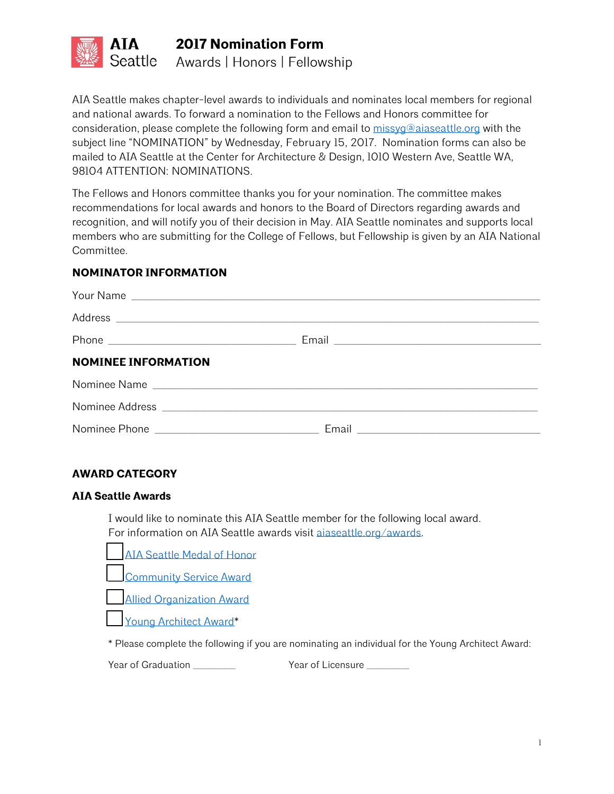

**2017 Nomination Form** Awards | Honors | Fellowship

AIA Seattle makes chapter-level awards to individuals and nominates local members for regional and national awards. To forward a nomination to the Fellows and Honors committee for consideration, please complete the following form and email to [missyg@aiaseattle.org](mailto:missyg@aiaseattle.org?subject=Nomination) with the subject line "NOMINATION" by Wednesday, February 15, 2017. Nomination forms can also be mailed to AIA Seattle at the Center for Architecture & Design, 1010 Western Ave, Seattle WA, 98104 ATTENTION: NOMINATIONS.

The Fellows and Honors committee thanks you for your nomination. The committee makes recommendations for local awards and honors to the Board of Directors regarding awards and recognition, and will notify you of their decision in May. AIA Seattle nominates and supports local members who are submitting for the College of Fellows, but Fellowship is given by an AIA National Committee.

#### **NOMINATOR INFORMATION**

| <b>NOMINEE INFORMATION</b> |              |
|----------------------------|--------------|
|                            | Nominee Name |
|                            |              |
|                            |              |

## **AWARD CATEGORY**

#### **AIA Seattle Awards**

I would like to nominate this AIA Seattle member for the following local award. For information on AIA Seattle awards visit [aiaseattle.org/awards.](https://www.aiaseattle.org/awards/)

AIA Seattle Medal of Honor Community Service Award Allied Organization Award Young Architect Award\*

\* Please complete the following if you are nominating an individual for the Young Architect Award:

Year of Graduation The State of Licensure Charles State of Licensure 2014